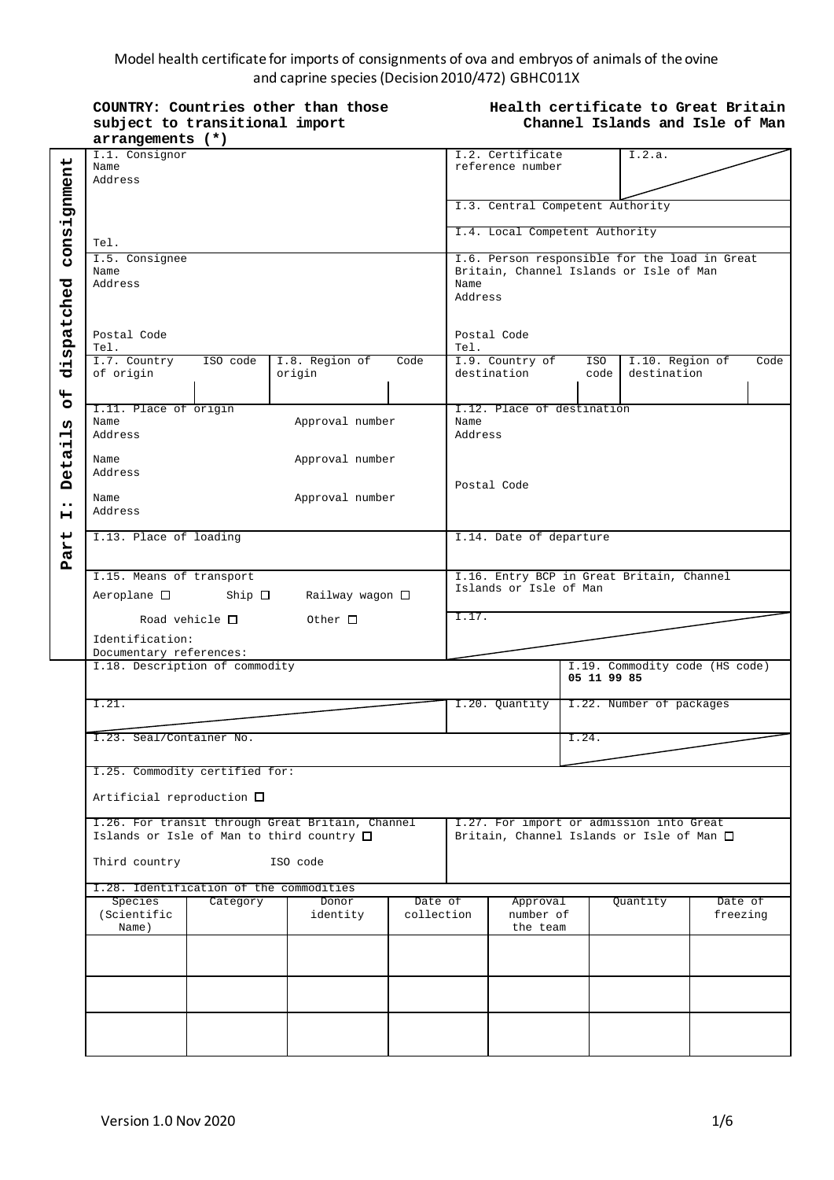#### Model health certificate for imports of consignments of ova and embryos of animals of the ovine and caprine species (Decision 2010/472) GBHC011X

|                                                                                                    | COUNTRY: Countries other than those<br>subject to transitional import<br>arrangements (*)                                            | Health certificate to Great Britain<br>Channel Islands and Isle of Man |      |                                                                                                             |                                                                                       |     |                                     |                     |
|----------------------------------------------------------------------------------------------------|--------------------------------------------------------------------------------------------------------------------------------------|------------------------------------------------------------------------|------|-------------------------------------------------------------------------------------------------------------|---------------------------------------------------------------------------------------|-----|-------------------------------------|---------------------|
| consignment<br>dispatched<br>$\frac{4}{5}$<br>Ω<br>Н<br>Detai<br>$\bullet\bullet$<br>н<br>art<br>Ã | I.1. Consignor<br>Name<br>Address                                                                                                    |                                                                        |      |                                                                                                             | I.2. Certificate<br>reference number                                                  |     | I.2.a.                              |                     |
|                                                                                                    |                                                                                                                                      |                                                                        |      |                                                                                                             | I.3. Central Competent Authority                                                      |     |                                     |                     |
|                                                                                                    | Tel.                                                                                                                                 |                                                                        |      | I.4. Local Competent Authority                                                                              |                                                                                       |     |                                     |                     |
|                                                                                                    | I.5. Consignee<br>Name<br>Address                                                                                                    |                                                                        |      | I.6. Person responsible for the load in Great<br>Britain, Channel Islands or Isle of Man<br>Name<br>Address |                                                                                       |     |                                     |                     |
|                                                                                                    | Postal Code<br>Tel.                                                                                                                  |                                                                        |      |                                                                                                             | Postal Code                                                                           |     |                                     |                     |
|                                                                                                    | I.7. Country<br>ISO code<br>of origin                                                                                                | I.8. Region of<br>origin                                               | Code | Tel.                                                                                                        | I.9. Country of<br>destination                                                        | ISO | I.10. Region of<br>code destination | Code                |
|                                                                                                    | I.11. Place of origin<br>Name                                                                                                        | Approval number                                                        |      | Name                                                                                                        | I.12. Place of destination                                                            |     |                                     |                     |
|                                                                                                    | Address<br>Name                                                                                                                      | Approval number                                                        |      | Address                                                                                                     |                                                                                       |     |                                     |                     |
|                                                                                                    | Address<br>Approval number<br>Name<br>Address                                                                                        |                                                                        |      |                                                                                                             | Postal Code                                                                           |     |                                     |                     |
|                                                                                                    | I.13. Place of loading                                                                                                               |                                                                        |      | I.14. Date of departure                                                                                     |                                                                                       |     |                                     |                     |
|                                                                                                    | I.15. Means of transport<br>Ship $\Box$<br>Railway wagon $\square$<br>Aeroplane $\square$                                            |                                                                        |      | I.16. Entry BCP in Great Britain, Channel<br>Islands or Isle of Man                                         |                                                                                       |     |                                     |                     |
|                                                                                                    | Road vehicle $\Box$<br>Other $\Box$<br>Identification:                                                                               |                                                                        |      | I.17.                                                                                                       |                                                                                       |     |                                     |                     |
|                                                                                                    | Documentary references:<br>I.18. Description of commodity                                                                            |                                                                        |      |                                                                                                             | I.19. Commodity code (HS code)<br>05 11 99 85                                         |     |                                     |                     |
|                                                                                                    | I.21.                                                                                                                                |                                                                        |      |                                                                                                             | I.20. Ouantity                                                                        |     | I.22. Number of packages            |                     |
|                                                                                                    | I.23. Seal/Container No.                                                                                                             |                                                                        |      |                                                                                                             | I.24.                                                                                 |     |                                     |                     |
|                                                                                                    | I.25. Commodity certified for:<br>Artificial reproduction $\square$                                                                  |                                                                        |      |                                                                                                             |                                                                                       |     |                                     |                     |
|                                                                                                    | I.26. For transit through Great Britain, Channel<br>Islands or Isle of Man to third country $\square$<br>Third country<br>ISO code   |                                                                        |      |                                                                                                             | I.27. For import or admission into Great<br>Britain, Channel Islands or Isle of Man □ |     |                                     |                     |
|                                                                                                    | I.28. Identification of the commodities<br>Species<br>Category<br>Donor<br>Date of<br>(Scientific<br>identity<br>collection<br>Name) |                                                                        |      |                                                                                                             | Approval<br>number of<br>the team                                                     |     | Quantity                            | Date of<br>freezing |
|                                                                                                    |                                                                                                                                      |                                                                        |      |                                                                                                             |                                                                                       |     |                                     |                     |
|                                                                                                    |                                                                                                                                      |                                                                        |      |                                                                                                             |                                                                                       |     |                                     |                     |
|                                                                                                    |                                                                                                                                      |                                                                        |      |                                                                                                             |                                                                                       |     |                                     |                     |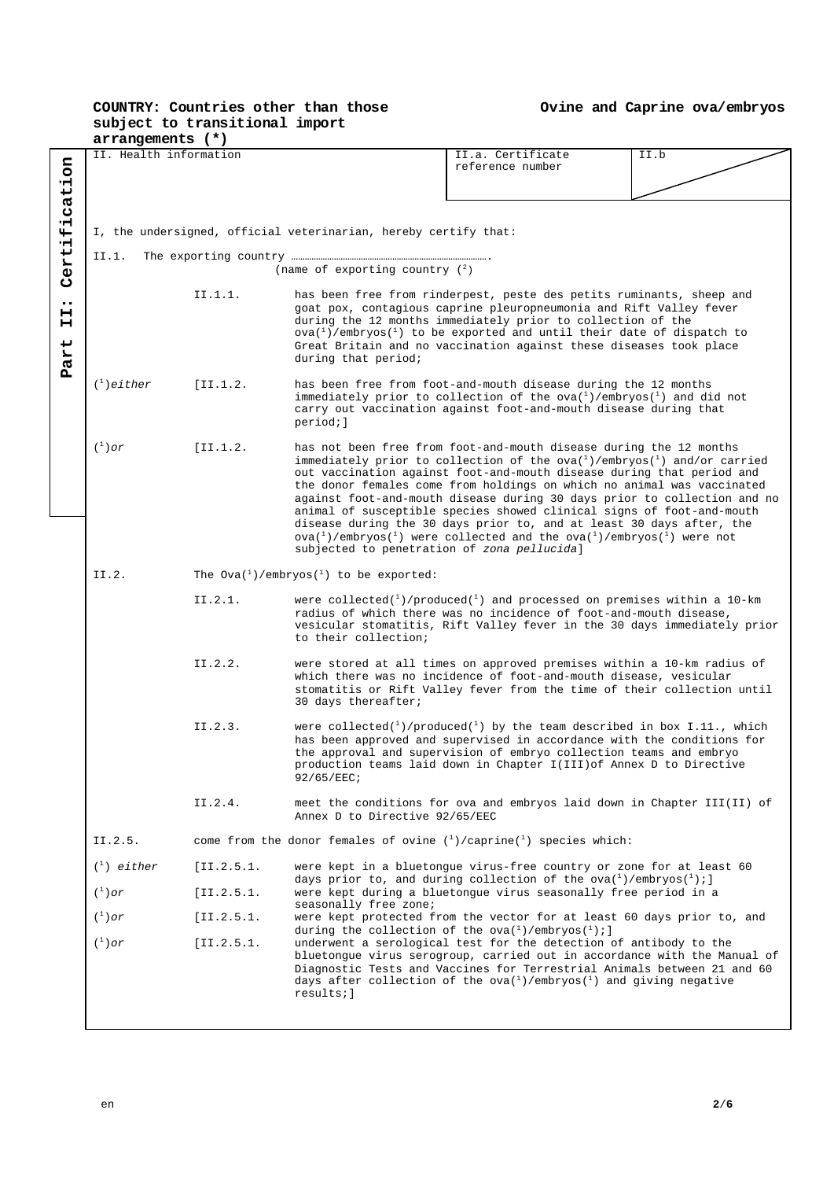|                                                          | arrangements (*)                                                |                                                              |                                                                                                                                                                                                                                                                                                                                                                                                                                                                                                                                                                                                                                                                                                                                   |                                                                                                                                                                                                                                                                                                                                                                                            |      |  |  |
|----------------------------------------------------------|-----------------------------------------------------------------|--------------------------------------------------------------|-----------------------------------------------------------------------------------------------------------------------------------------------------------------------------------------------------------------------------------------------------------------------------------------------------------------------------------------------------------------------------------------------------------------------------------------------------------------------------------------------------------------------------------------------------------------------------------------------------------------------------------------------------------------------------------------------------------------------------------|--------------------------------------------------------------------------------------------------------------------------------------------------------------------------------------------------------------------------------------------------------------------------------------------------------------------------------------------------------------------------------------------|------|--|--|
|                                                          | II. Health information                                          |                                                              |                                                                                                                                                                                                                                                                                                                                                                                                                                                                                                                                                                                                                                                                                                                                   | II.a. Certificate<br>reference number                                                                                                                                                                                                                                                                                                                                                      | II.b |  |  |
| Certification<br>$\bullet\bullet$<br>н<br>н<br>art<br>Ä, | I, the undersigned, official veterinarian, hereby certify that: |                                                              |                                                                                                                                                                                                                                                                                                                                                                                                                                                                                                                                                                                                                                                                                                                                   |                                                                                                                                                                                                                                                                                                                                                                                            |      |  |  |
|                                                          | II.1.                                                           |                                                              | (name of exporting country $(^2)$ )                                                                                                                                                                                                                                                                                                                                                                                                                                                                                                                                                                                                                                                                                               |                                                                                                                                                                                                                                                                                                                                                                                            |      |  |  |
|                                                          |                                                                 | II.1.1.                                                      | during that period;                                                                                                                                                                                                                                                                                                                                                                                                                                                                                                                                                                                                                                                                                                               | has been free from rinderpest, peste des petits ruminants, sheep and<br>goat pox, contagious caprine pleuropneumonia and Rift Valley fever<br>during the 12 months immediately prior to collection of the<br>$\alpha$ ova( <sup>1</sup> )/embryos( <sup>1</sup> ) to be exported and until their date of dispatch to<br>Great Britain and no vaccination against these diseases took place |      |  |  |
|                                                          | $\binom{1}{1}$ either                                           | [II.1.2.]                                                    | has been free from foot-and-mouth disease during the 12 months<br>immediately prior to collection of the $ova{1}$ /embryos ${1}$ ) and did not<br>carry out vaccination against foot-and-mouth disease during that<br>period; ]                                                                                                                                                                                                                                                                                                                                                                                                                                                                                                   |                                                                                                                                                                                                                                                                                                                                                                                            |      |  |  |
|                                                          | $(^1)$ or                                                       | [I1.1.2]                                                     | has not been free from foot-and-mouth disease during the 12 months<br>immediately prior to collection of the $y$ a( $^1$ )/embryos( $^1$ ) and/or carried<br>out vaccination against foot-and-mouth disease during that period and<br>the donor females come from holdings on which no animal was vaccinated<br>against foot-and-mouth disease during 30 days prior to collection and no<br>animal of susceptible species showed clinical signs of foot-and-mouth<br>disease during the 30 days prior to, and at least 30 days after, the<br>$\alpha$ ( <sup>1</sup> )/embryos( <sup>1</sup> ) were collected and the $\alpha$ va( <sup>1</sup> )/embryos( <sup>1</sup> ) were not<br>subjected to penetration of zona pellucida] |                                                                                                                                                                                                                                                                                                                                                                                            |      |  |  |
|                                                          | II.2.                                                           | The $0\text{va}(1)$ /embryos( <sup>1</sup> ) to be exported: |                                                                                                                                                                                                                                                                                                                                                                                                                                                                                                                                                                                                                                                                                                                                   |                                                                                                                                                                                                                                                                                                                                                                                            |      |  |  |
|                                                          |                                                                 | II.2.1.                                                      | to their collection;                                                                                                                                                                                                                                                                                                                                                                                                                                                                                                                                                                                                                                                                                                              | were collected( $1$ )/produced( $1$ ) and processed on premises within a 10-km<br>radius of which there was no incidence of foot-and-mouth disease,<br>vesicular stomatitis, Rift Valley fever in the 30 days immediately prior                                                                                                                                                            |      |  |  |
|                                                          |                                                                 | II.2.2.                                                      | 30 days thereafter;                                                                                                                                                                                                                                                                                                                                                                                                                                                                                                                                                                                                                                                                                                               | were stored at all times on approved premises within a 10-km radius of<br>which there was no incidence of foot-and-mouth disease, vesicular<br>stomatitis or Rift Valley fever from the time of their collection until                                                                                                                                                                     |      |  |  |
|                                                          |                                                                 | II.2.3.                                                      | $92/65/EEC$ ;                                                                                                                                                                                                                                                                                                                                                                                                                                                                                                                                                                                                                                                                                                                     | were collected <sup><math>(1)</math></sup> /produced <sup><math>(1)</math></sup> by the team described in box I.11., which<br>has been approved and supervised in accordance with the conditions for<br>the approval and supervision of embryo collection teams and embryo<br>production teams laid down in Chapter I(III) of Annex D to Directive                                         |      |  |  |
|                                                          |                                                                 | II.2.4.                                                      | Annex D to Directive 92/65/EEC                                                                                                                                                                                                                                                                                                                                                                                                                                                                                                                                                                                                                                                                                                    | meet the conditions for ova and embryos laid down in Chapter III(II) of                                                                                                                                                                                                                                                                                                                    |      |  |  |
|                                                          | II.2.5.                                                         |                                                              | come from the donor females of ovine $\binom{1}{1}$ caprine $\binom{1}{1}$ species which:                                                                                                                                                                                                                                                                                                                                                                                                                                                                                                                                                                                                                                         |                                                                                                                                                                                                                                                                                                                                                                                            |      |  |  |
|                                                          | $({}^{1})$ either                                               | [II.2.5.1]                                                   | were kept in a bluetonque virus-free country or zone for at least 60<br>days prior to, and during collection of the ova( $^1$ )/embryos( $^1$ );]<br>were kept during a bluetongue virus seasonally free period in a<br>seasonally free zone;<br>were kept protected from the vector for at least 60 days prior to, and<br>during the collection of the $ova(^1)/embryos(^1);$                                                                                                                                                                                                                                                                                                                                                    |                                                                                                                                                                                                                                                                                                                                                                                            |      |  |  |
|                                                          | $(^1)$ or                                                       | [II.2.5.1]                                                   |                                                                                                                                                                                                                                                                                                                                                                                                                                                                                                                                                                                                                                                                                                                                   |                                                                                                                                                                                                                                                                                                                                                                                            |      |  |  |
|                                                          | $(^1)$ or                                                       | [II.2.5.1]                                                   |                                                                                                                                                                                                                                                                                                                                                                                                                                                                                                                                                                                                                                                                                                                                   |                                                                                                                                                                                                                                                                                                                                                                                            |      |  |  |
|                                                          | $(^1)$ or                                                       | [II.2.5.1]                                                   | underwent a serological test for the detection of antibody to the<br>bluetongue virus serogroup, carried out in accordance with the Manual of<br>Diagnostic Tests and Vaccines for Terrestrial Animals between 21 and 60<br>days after collection of the ova( $^1$ )/embryos( $^1$ ) and giving negative<br>results; ]                                                                                                                                                                                                                                                                                                                                                                                                            |                                                                                                                                                                                                                                                                                                                                                                                            |      |  |  |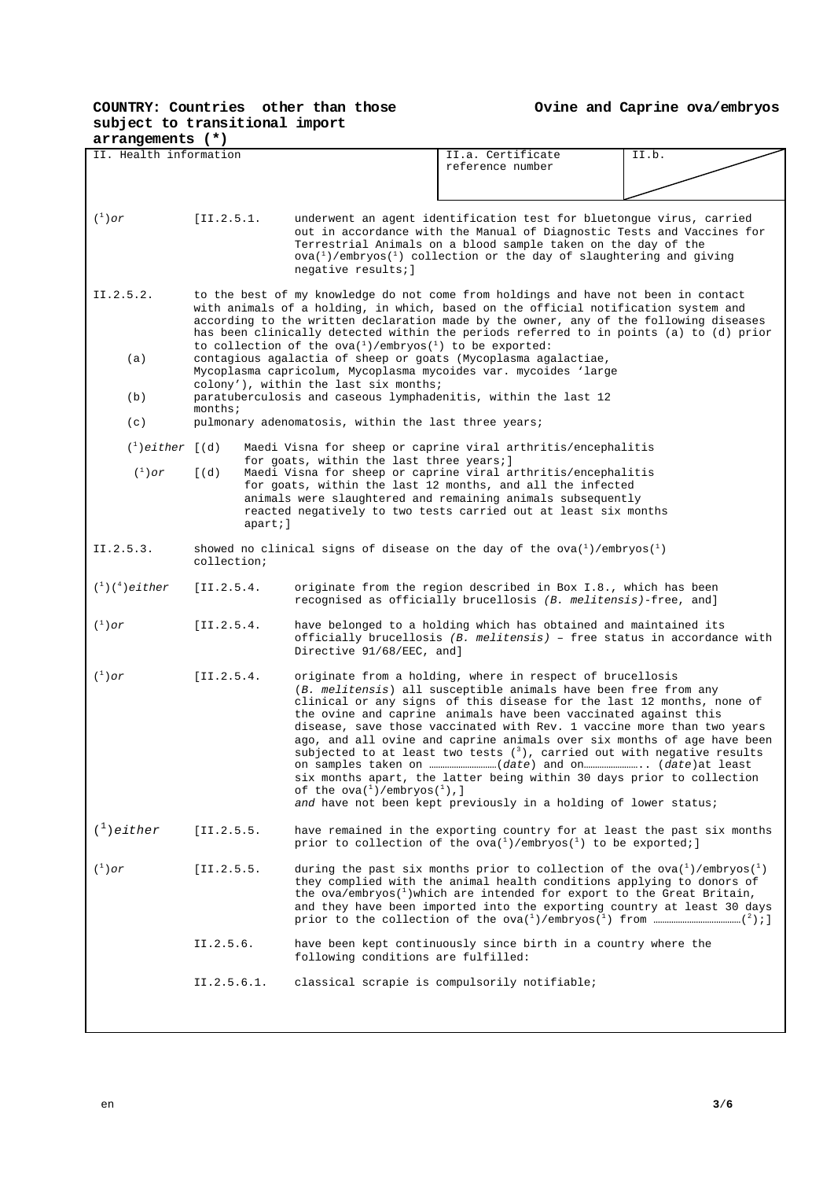| arrangements (*)                                                |                     |                                                                                                                                                                                                                                                                                                                                                 |                                                                                                                                                                                                                                                                                                                                                                                                                                                                                                                                                                                                                                                        |       |  |  |
|-----------------------------------------------------------------|---------------------|-------------------------------------------------------------------------------------------------------------------------------------------------------------------------------------------------------------------------------------------------------------------------------------------------------------------------------------------------|--------------------------------------------------------------------------------------------------------------------------------------------------------------------------------------------------------------------------------------------------------------------------------------------------------------------------------------------------------------------------------------------------------------------------------------------------------------------------------------------------------------------------------------------------------------------------------------------------------------------------------------------------------|-------|--|--|
| II. Health information                                          |                     |                                                                                                                                                                                                                                                                                                                                                 | II.a. Certificate<br>reference number                                                                                                                                                                                                                                                                                                                                                                                                                                                                                                                                                                                                                  | II.b. |  |  |
|                                                                 |                     |                                                                                                                                                                                                                                                                                                                                                 |                                                                                                                                                                                                                                                                                                                                                                                                                                                                                                                                                                                                                                                        |       |  |  |
| $(\begin{smallmatrix}1\\1\end{smallmatrix})$ or                 | [II.2.5.1]          | underwent an agent identification test for bluetongue virus, carried<br>out in accordance with the Manual of Diagnostic Tests and Vaccines for<br>Terrestrial Animals on a blood sample taken on the day of the<br>$\alpha$ ova( <sup>1</sup> )/embryos( <sup>1</sup> ) collection or the day of slaughtering and giving<br>negative results; ] |                                                                                                                                                                                                                                                                                                                                                                                                                                                                                                                                                                                                                                                        |       |  |  |
| II.2.5.2.                                                       |                     |                                                                                                                                                                                                                                                                                                                                                 | to the best of my knowledge do not come from holdings and have not been in contact<br>with animals of a holding, in which, based on the official notification system and<br>according to the written declaration made by the owner, any of the following diseases<br>has been clinically detected within the periods referred to in points (a) to (d) prior<br>to collection of the ova( $^1$ )/embryos( $^1$ ) to be exported:                                                                                                                                                                                                                        |       |  |  |
| (a)                                                             |                     | contagious agalactia of sheep or goats (Mycoplasma agalactiae,<br>colony'), within the last six months;                                                                                                                                                                                                                                         | Mycoplasma capricolum, Mycoplasma mycoides var. mycoides 'large                                                                                                                                                                                                                                                                                                                                                                                                                                                                                                                                                                                        |       |  |  |
| (b)                                                             | $months$ ;          | paratuberculosis and caseous lymphadenitis, within the last 12                                                                                                                                                                                                                                                                                  |                                                                                                                                                                                                                                                                                                                                                                                                                                                                                                                                                                                                                                                        |       |  |  |
| (c)                                                             |                     | pulmonary adenomatosis, within the last three years;                                                                                                                                                                                                                                                                                            |                                                                                                                                                                                                                                                                                                                                                                                                                                                                                                                                                                                                                                                        |       |  |  |
| $\binom{1}{1}$ either $[(d)]$                                   |                     | for goats, within the last three years; ]                                                                                                                                                                                                                                                                                                       | Maedi Visna for sheep or caprine viral arthritis/encephalitis                                                                                                                                                                                                                                                                                                                                                                                                                                                                                                                                                                                          |       |  |  |
| $\binom{1}{1}$ or                                               | $\lceil (d) \rceil$ | apart;]                                                                                                                                                                                                                                                                                                                                         | Maedi Visna for sheep or caprine viral arthritis/encephalitis<br>for goats, within the last 12 months, and all the infected<br>animals were slaughtered and remaining animals subsequently<br>reacted negatively to two tests carried out at least six months                                                                                                                                                                                                                                                                                                                                                                                          |       |  |  |
| II.2.5.3.                                                       | collection;         |                                                                                                                                                                                                                                                                                                                                                 | showed no clinical signs of disease on the day of the ova $(^1)$ /embryos $(^1)$                                                                                                                                                                                                                                                                                                                                                                                                                                                                                                                                                                       |       |  |  |
| $({}^{1})({}^{4})$ either                                       | [II.2.5.4]          |                                                                                                                                                                                                                                                                                                                                                 | originate from the region described in Box I.8., which has been<br>recognised as officially brucellosis (B. melitensis)-free, and]                                                                                                                                                                                                                                                                                                                                                                                                                                                                                                                     |       |  |  |
| $(^1)$ or                                                       | [II.2.5.4]          | Directive 91/68/EEC, and]                                                                                                                                                                                                                                                                                                                       | have belonged to a holding which has obtained and maintained its<br>officially brucellosis $(B.$ melitensis) - free status in accordance with                                                                                                                                                                                                                                                                                                                                                                                                                                                                                                          |       |  |  |
| $(^1)$ or<br>[II.2.5.4]<br>of the $ova(^1)$ /embryos $(^1)$ , ] |                     |                                                                                                                                                                                                                                                                                                                                                 | originate from a holding, where in respect of brucellosis<br>(B. melitensis) all susceptible animals have been free from any<br>clinical or any signs of this disease for the last 12 months, none of<br>the ovine and caprine animals have been vaccinated against this<br>disease, save those vaccinated with Rev. 1 vaccine more than two years<br>ago, and all ovine and caprine animals over six months of age have been<br>subjected to at least two tests $(3)$ , carried out with negative results<br>six months apart, the latter being within 30 days prior to collection<br>and have not been kept previously in a holding of lower status; |       |  |  |
| $\binom{1}{1}$ either                                           | [II.2.5.5.          |                                                                                                                                                                                                                                                                                                                                                 | have remained in the exporting country for at least the past six months<br>prior to collection of the $ova{1}/embryos{1}$ to be exported;                                                                                                                                                                                                                                                                                                                                                                                                                                                                                                              |       |  |  |
| $(^1)$ or<br>[II.2.5.5.                                         |                     |                                                                                                                                                                                                                                                                                                                                                 | during the past six months prior to collection of the ova( $\frac{1}{2}$ )/embryos( $\frac{1}{2}$ )<br>they complied with the animal health conditions applying to donors of<br>the ova/embryos( $^1$ )which are intended for export to the Great Britain,<br>and they have been imported into the exporting country at least 30 days                                                                                                                                                                                                                                                                                                                  |       |  |  |
|                                                                 | II.2.5.6.           | following conditions are fulfilled:                                                                                                                                                                                                                                                                                                             | have been kept continuously since birth in a country where the                                                                                                                                                                                                                                                                                                                                                                                                                                                                                                                                                                                         |       |  |  |
|                                                                 | II.2.5.6.1.         |                                                                                                                                                                                                                                                                                                                                                 | classical scrapie is compulsorily notifiable;                                                                                                                                                                                                                                                                                                                                                                                                                                                                                                                                                                                                          |       |  |  |
|                                                                 |                     |                                                                                                                                                                                                                                                                                                                                                 |                                                                                                                                                                                                                                                                                                                                                                                                                                                                                                                                                                                                                                                        |       |  |  |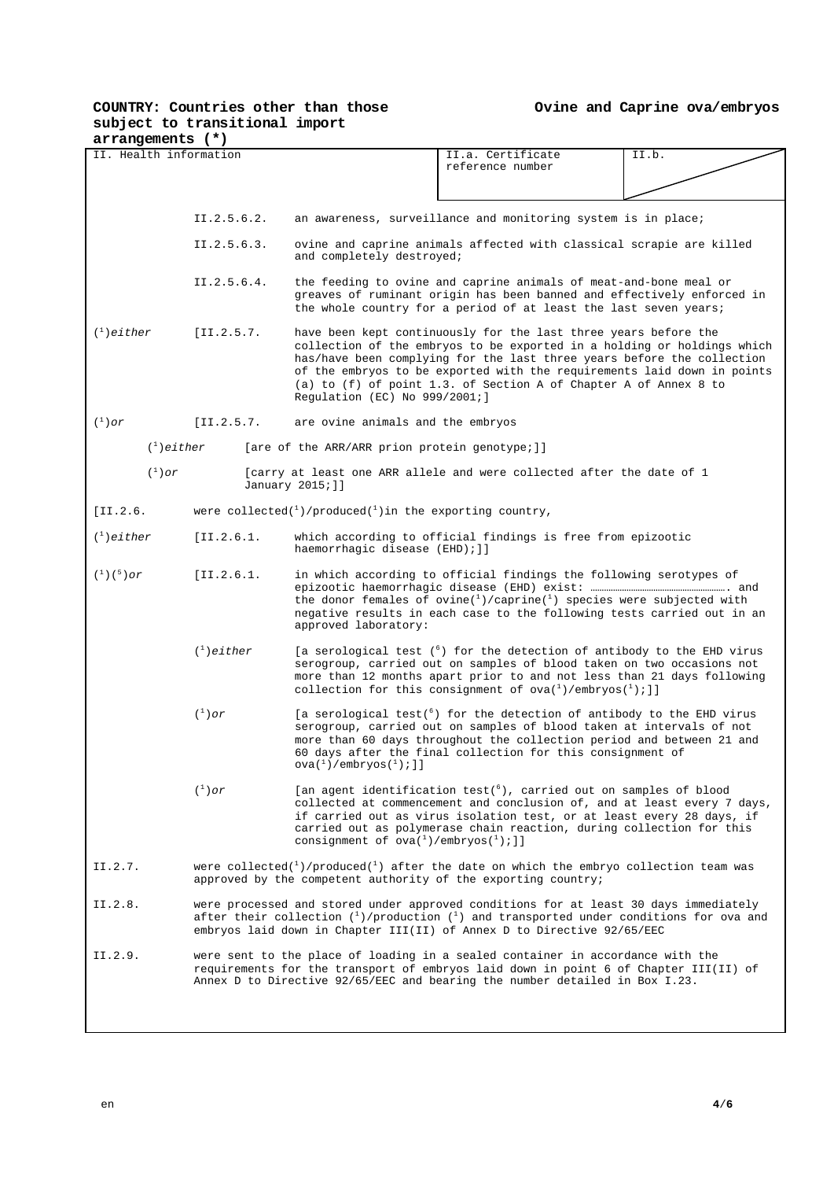| arrangements (*)                                |                                                                                                                                                                                                                                                               |                                                                                                                                                                                                                                                                                                                                                                                                      |                                                                                                                                                                                                                                                                                                            |       |  |  |
|-------------------------------------------------|---------------------------------------------------------------------------------------------------------------------------------------------------------------------------------------------------------------------------------------------------------------|------------------------------------------------------------------------------------------------------------------------------------------------------------------------------------------------------------------------------------------------------------------------------------------------------------------------------------------------------------------------------------------------------|------------------------------------------------------------------------------------------------------------------------------------------------------------------------------------------------------------------------------------------------------------------------------------------------------------|-------|--|--|
| II. Health information                          |                                                                                                                                                                                                                                                               |                                                                                                                                                                                                                                                                                                                                                                                                      | II.a. Certificate<br>reference number                                                                                                                                                                                                                                                                      | II.b. |  |  |
|                                                 |                                                                                                                                                                                                                                                               |                                                                                                                                                                                                                                                                                                                                                                                                      |                                                                                                                                                                                                                                                                                                            |       |  |  |
|                                                 | II.2.5.6.2.                                                                                                                                                                                                                                                   |                                                                                                                                                                                                                                                                                                                                                                                                      | an awareness, surveillance and monitoring system is in place;                                                                                                                                                                                                                                              |       |  |  |
|                                                 | II.2.5.6.3.                                                                                                                                                                                                                                                   | ovine and caprine animals affected with classical scrapie are killed<br>and completely destroyed;                                                                                                                                                                                                                                                                                                    |                                                                                                                                                                                                                                                                                                            |       |  |  |
|                                                 | II.2.5.6.4.                                                                                                                                                                                                                                                   |                                                                                                                                                                                                                                                                                                                                                                                                      | the feeding to ovine and caprine animals of meat-and-bone meal or<br>greaves of ruminant origin has been banned and effectively enforced in<br>the whole country for a period of at least the last seven years;                                                                                            |       |  |  |
| $\binom{1}{1}$ either                           | [II.2.5.7]                                                                                                                                                                                                                                                    | have been kept continuously for the last three years before the<br>collection of the embryos to be exported in a holding or holdings which<br>has/have been complying for the last three years before the collection<br>of the embryos to be exported with the requirements laid down in points<br>(a) to (f) of point 1.3. of Section A of Chapter A of Annex 8 to<br>Regulation (EC) No 999/2001;] |                                                                                                                                                                                                                                                                                                            |       |  |  |
| $(\begin{smallmatrix}1\\1\end{smallmatrix})$ or | [II.2.5.7]                                                                                                                                                                                                                                                    | are ovine animals and the embryos                                                                                                                                                                                                                                                                                                                                                                    |                                                                                                                                                                                                                                                                                                            |       |  |  |
| $\binom{1}{1}$ either                           |                                                                                                                                                                                                                                                               | [are of the ARR/ARR prion protein genotype;]]                                                                                                                                                                                                                                                                                                                                                        |                                                                                                                                                                                                                                                                                                            |       |  |  |
| $(^1)$ or                                       |                                                                                                                                                                                                                                                               | January 2015; ]]                                                                                                                                                                                                                                                                                                                                                                                     | [carry at least one ARR allele and were collected after the date of 1                                                                                                                                                                                                                                      |       |  |  |
| $[II.2.6]$                                      |                                                                                                                                                                                                                                                               | were collected( $^{1}$ )/produced( $^{1}$ ) in the exporting country,                                                                                                                                                                                                                                                                                                                                |                                                                                                                                                                                                                                                                                                            |       |  |  |
| $\binom{1}{1}$ either                           | [II.2.6.1]                                                                                                                                                                                                                                                    | which according to official findings is free from epizootic<br>haemorrhagic disease (EHD); ]]                                                                                                                                                                                                                                                                                                        |                                                                                                                                                                                                                                                                                                            |       |  |  |
| $({}^{1})({}^{5})$ or                           | [II.2.6.1]                                                                                                                                                                                                                                                    | in which according to official findings the following serotypes of<br>the donor females of ovine( $^{1}$ )/caprine( $^{1}$ ) species were subjected with<br>negative results in each case to the following tests carried out in an<br>approved laboratory:                                                                                                                                           |                                                                                                                                                                                                                                                                                                            |       |  |  |
| $\binom{1}{1}$ either                           |                                                                                                                                                                                                                                                               | [a serological test (6) for the detection of antibody to the EHD virus<br>serogroup, carried out on samples of blood taken on two occasions not<br>more than 12 months apart prior to and not less than 21 days following<br>collection for this consignment of $y(a)^{1}/\text{embryos}(1)$ ; 1]                                                                                                    |                                                                                                                                                                                                                                                                                                            |       |  |  |
|                                                 | $(\begin{smallmatrix}1\\1\end{smallmatrix})$ or                                                                                                                                                                                                               | $\alpha$ ( <sup>1</sup> )/embryos( <sup>1</sup> ); ]]                                                                                                                                                                                                                                                                                                                                                | [a serological test( $^6$ ) for the detection of antibody to the EHD virus<br>serogroup, carried out on samples of blood taken at intervals of not<br>more than 60 days throughout the collection period and between 21 and<br>60 days after the final collection for this consignment of                  |       |  |  |
|                                                 | $(^1)$ or                                                                                                                                                                                                                                                     | consignment of $ova(^1)$ /embryos( $'$ );]]                                                                                                                                                                                                                                                                                                                                                          | [an agent identification test( <sup>6</sup> ), carried out on samples of blood<br>collected at commencement and conclusion of, and at least every 7 days,<br>if carried out as virus isolation test, or at least every 28 days, if<br>carried out as polymerase chain reaction, during collection for this |       |  |  |
| II.2.7.                                         |                                                                                                                                                                                                                                                               | were collected( $^{1}$ )/produced( $^{1}$ ) after the date on which the embryo collection team was<br>approved by the competent authority of the exporting country;                                                                                                                                                                                                                                  |                                                                                                                                                                                                                                                                                                            |       |  |  |
| II.2.8.                                         | were processed and stored under approved conditions for at least 30 days immediately<br>after their collection $(1)$ /production $(1)$ and transported under conditions for ova and<br>embryos laid down in Chapter III(II) of Annex D to Directive 92/65/EEC |                                                                                                                                                                                                                                                                                                                                                                                                      |                                                                                                                                                                                                                                                                                                            |       |  |  |
| II.2.9.                                         | were sent to the place of loading in a sealed container in accordance with the<br>requirements for the transport of embryos laid down in point 6 of Chapter III(II) of<br>Annex D to Directive 92/65/EEC and bearing the number detailed in Box I.23.         |                                                                                                                                                                                                                                                                                                                                                                                                      |                                                                                                                                                                                                                                                                                                            |       |  |  |
|                                                 |                                                                                                                                                                                                                                                               |                                                                                                                                                                                                                                                                                                                                                                                                      |                                                                                                                                                                                                                                                                                                            |       |  |  |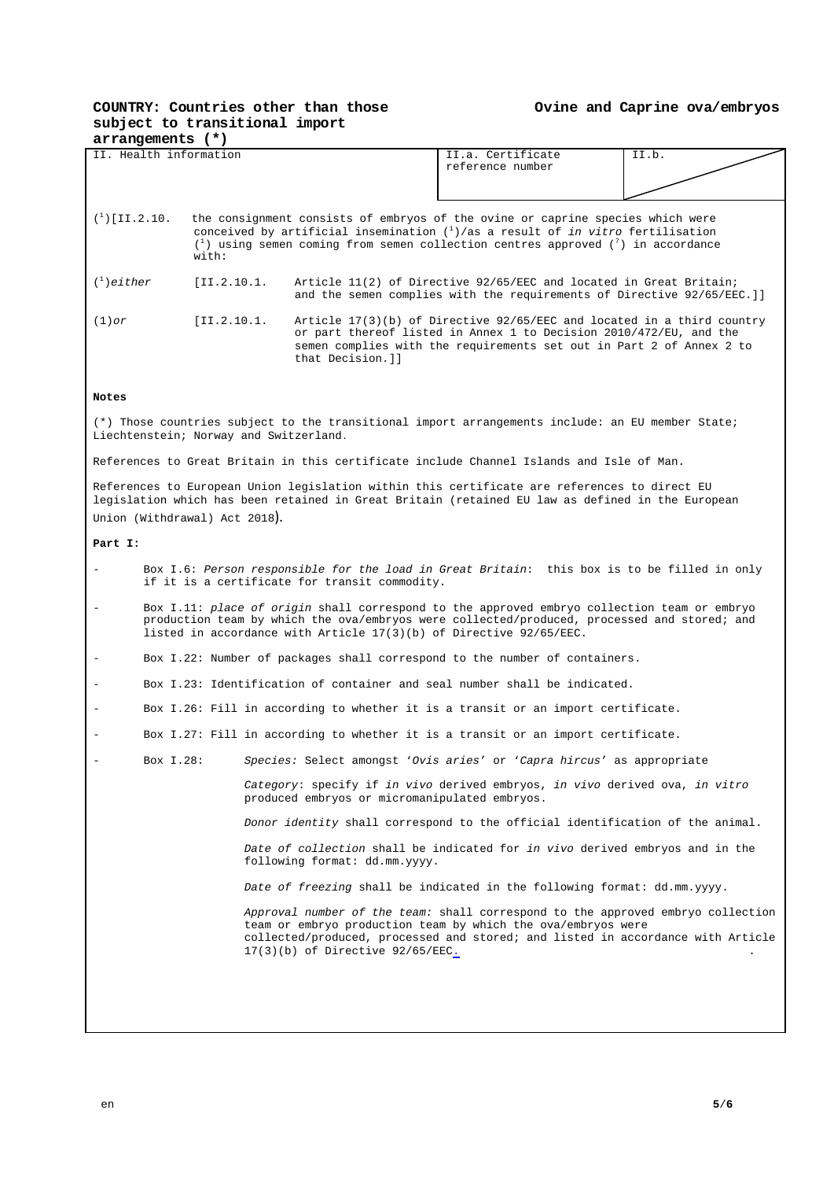| arrangements (*)                                                         |                                                                                                                                                                                                                                                                                                                              |  |                                                                                                                                                                                                  |       |  |  |  |
|--------------------------------------------------------------------------|------------------------------------------------------------------------------------------------------------------------------------------------------------------------------------------------------------------------------------------------------------------------------------------------------------------------------|--|--------------------------------------------------------------------------------------------------------------------------------------------------------------------------------------------------|-------|--|--|--|
|                                                                          | II. Health information                                                                                                                                                                                                                                                                                                       |  | II.a. Certificate<br>reference number                                                                                                                                                            | II.b. |  |  |  |
|                                                                          | $({}^{1})$ [II.2.10.<br>the consignment consists of embryos of the ovine or caprine species which were<br>conceived by artificial insemination $\binom{1}{1}$ as a result of <i>in vitro</i> fertilisation<br>$\binom{1}{1}$ using semen coming from semen collection centres approved $\binom{7}{1}$ in accordance<br>with: |  |                                                                                                                                                                                                  |       |  |  |  |
| $\binom{1}{1}$ either                                                    | [II.2.10.1]<br>Article 11(2) of Directive 92/65/EEC and located in Great Britain;<br>and the semen complies with the requirements of Directive 92/65/EEC. ] ]                                                                                                                                                                |  |                                                                                                                                                                                                  |       |  |  |  |
| $(1)$ or                                                                 | [II.2.10.1]<br>Article $17(3)(b)$ of Directive $92/65/EEC$ and located in a third country<br>or part thereof listed in Annex 1 to Decision 2010/472/EU, and the<br>semen complies with the requirements set out in Part 2 of Annex 2 to<br>that Decision.]]                                                                  |  |                                                                                                                                                                                                  |       |  |  |  |
| Notes                                                                    |                                                                                                                                                                                                                                                                                                                              |  |                                                                                                                                                                                                  |       |  |  |  |
|                                                                          | Liechtenstein; Norway and Switzerland.                                                                                                                                                                                                                                                                                       |  | (*) Those countries subject to the transitional import arrangements include: an EU member State;                                                                                                 |       |  |  |  |
|                                                                          |                                                                                                                                                                                                                                                                                                                              |  | References to Great Britain in this certificate include Channel Islands and Isle of Man.                                                                                                         |       |  |  |  |
|                                                                          | Union (Withdrawal) Act 2018).                                                                                                                                                                                                                                                                                                |  | References to European Union legislation within this certificate are references to direct EU<br>legislation which has been retained in Great Britain (retained EU law as defined in the European |       |  |  |  |
| Part I:                                                                  |                                                                                                                                                                                                                                                                                                                              |  |                                                                                                                                                                                                  |       |  |  |  |
|                                                                          | Box I.6: Person responsible for the load in Great Britain: this box is to be filled in only<br>if it is a certificate for transit commodity.                                                                                                                                                                                 |  |                                                                                                                                                                                                  |       |  |  |  |
| $\qquad \qquad -$                                                        | Box I.11: place of origin shall correspond to the approved embryo collection team or embryo<br>production team by which the ova/embryos were collected/produced, processed and stored; and<br>listed in accordance with Article $17(3)(b)$ of Directive $92/65/EEC$ .                                                        |  |                                                                                                                                                                                                  |       |  |  |  |
|                                                                          | Box I.22: Number of packages shall correspond to the number of containers.                                                                                                                                                                                                                                                   |  |                                                                                                                                                                                                  |       |  |  |  |
|                                                                          |                                                                                                                                                                                                                                                                                                                              |  | Box I.23: Identification of container and seal number shall be indicated.                                                                                                                        |       |  |  |  |
|                                                                          | Box I.26: Fill in according to whether it is a transit or an import certificate.                                                                                                                                                                                                                                             |  |                                                                                                                                                                                                  |       |  |  |  |
|                                                                          |                                                                                                                                                                                                                                                                                                                              |  | Box I.27: Fill in according to whether it is a transit or an import certificate.                                                                                                                 |       |  |  |  |
|                                                                          | Box I.28:                                                                                                                                                                                                                                                                                                                    |  | Species: Select amongst 'Ovis aries' or 'Capra hircus' as appropriate                                                                                                                            |       |  |  |  |
|                                                                          | Category: specify if in vivo derived embryos, in vivo derived ova, in vitro<br>produced embryos or micromanipulated embryos.                                                                                                                                                                                                 |  |                                                                                                                                                                                                  |       |  |  |  |
|                                                                          | Donor identity shall correspond to the official identification of the animal.                                                                                                                                                                                                                                                |  |                                                                                                                                                                                                  |       |  |  |  |
|                                                                          | Date of collection shall be indicated for in vivo derived embryos and in the<br>following format: dd.mm.yyyy.                                                                                                                                                                                                                |  |                                                                                                                                                                                                  |       |  |  |  |
| Date of freezing shall be indicated in the following format: dd.mm.yyyy. |                                                                                                                                                                                                                                                                                                                              |  |                                                                                                                                                                                                  |       |  |  |  |
|                                                                          | Approval number of the team: shall correspond to the approved embryo collection<br>team or embryo production team by which the ova/embryos were<br>collected/produced, processed and stored; and listed in accordance with Article<br>$17(3)(b)$ of Directive $92/65/EEC$ .                                                  |  |                                                                                                                                                                                                  |       |  |  |  |
|                                                                          |                                                                                                                                                                                                                                                                                                                              |  |                                                                                                                                                                                                  |       |  |  |  |